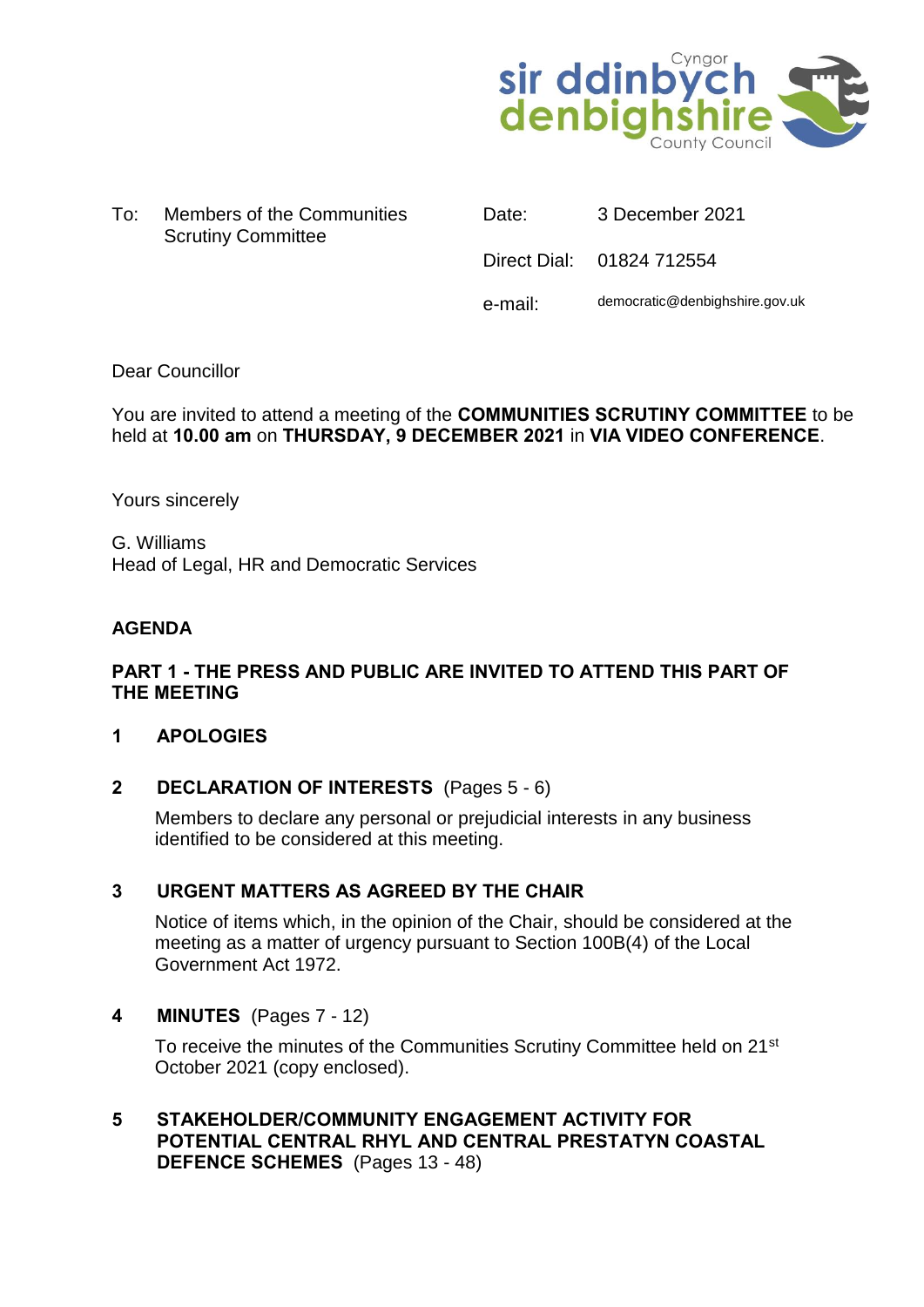

To: Members of the Communities Scrutiny Committee

Date: 3 December 2021

Direct Dial: 01824 712554

e-mail: democratic@denbighshire.gov.uk

### Dear Councillor

### You are invited to attend a meeting of the **COMMUNITIES SCRUTINY COMMITTEE** to be held at **10.00 am** on **THURSDAY, 9 DECEMBER 2021** in **VIA VIDEO CONFERENCE**.

Yours sincerely

G. Williams Head of Legal, HR and Democratic Services

#### **AGENDA**

### **PART 1 - THE PRESS AND PUBLIC ARE INVITED TO ATTEND THIS PART OF THE MEETING**

#### **1 APOLOGIES**

### **2 DECLARATION OF INTERESTS** (Pages 5 - 6)

Members to declare any personal or prejudicial interests in any business identified to be considered at this meeting.

### **3 URGENT MATTERS AS AGREED BY THE CHAIR**

Notice of items which, in the opinion of the Chair, should be considered at the meeting as a matter of urgency pursuant to Section 100B(4) of the Local Government Act 1972.

#### **4 MINUTES** (Pages 7 - 12)

To receive the minutes of the Communities Scrutiny Committee held on 21<sup>st</sup> October 2021 (copy enclosed).

**5 STAKEHOLDER/COMMUNITY ENGAGEMENT ACTIVITY FOR POTENTIAL CENTRAL RHYL AND CENTRAL PRESTATYN COASTAL DEFENCE SCHEMES** (Pages 13 - 48)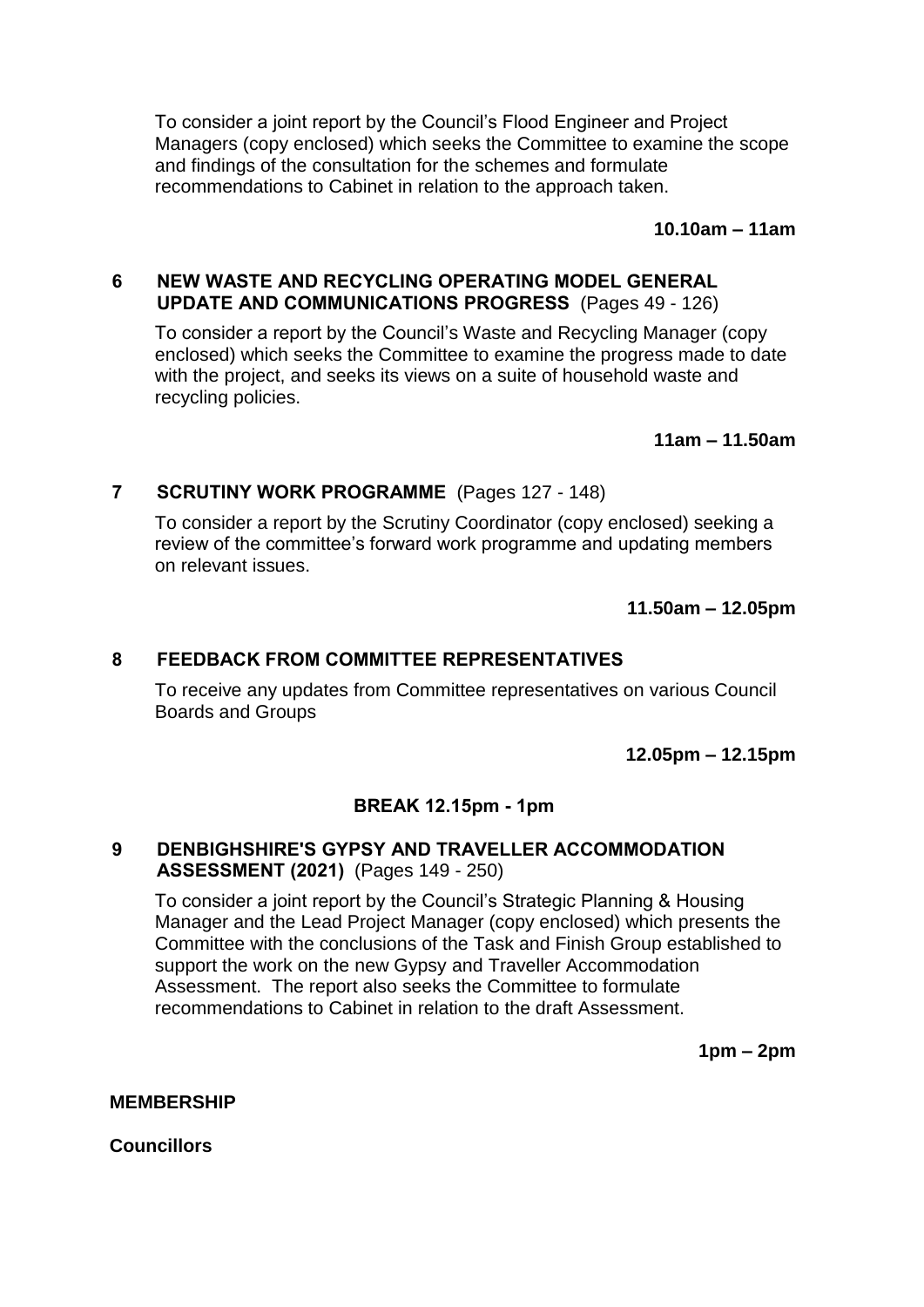To consider a joint report by the Council's Flood Engineer and Project Managers (copy enclosed) which seeks the Committee to examine the scope and findings of the consultation for the schemes and formulate recommendations to Cabinet in relation to the approach taken.

**10.10am – 11am**

### **6 NEW WASTE AND RECYCLING OPERATING MODEL GENERAL UPDATE AND COMMUNICATIONS PROGRESS** (Pages 49 - 126)

To consider a report by the Council's Waste and Recycling Manager (copy enclosed) which seeks the Committee to examine the progress made to date with the project, and seeks its views on a suite of household waste and recycling policies.

**11am – 11.50am**

## **7 SCRUTINY WORK PROGRAMME** (Pages 127 - 148)

To consider a report by the Scrutiny Coordinator (copy enclosed) seeking a review of the committee's forward work programme and updating members on relevant issues.

**11.50am – 12.05pm**

### **8 FEEDBACK FROM COMMITTEE REPRESENTATIVES**

To receive any updates from Committee representatives on various Council Boards and Groups

**12.05pm – 12.15pm**

### **BREAK 12.15pm - 1pm**

### **9 DENBIGHSHIRE'S GYPSY AND TRAVELLER ACCOMMODATION ASSESSMENT (2021)** (Pages 149 - 250)

To consider a joint report by the Council's Strategic Planning & Housing Manager and the Lead Project Manager (copy enclosed) which presents the Committee with the conclusions of the Task and Finish Group established to support the work on the new Gypsy and Traveller Accommodation Assessment. The report also seeks the Committee to formulate recommendations to Cabinet in relation to the draft Assessment.

**1pm – 2pm**

#### **MEMBERSHIP**

**Councillors**